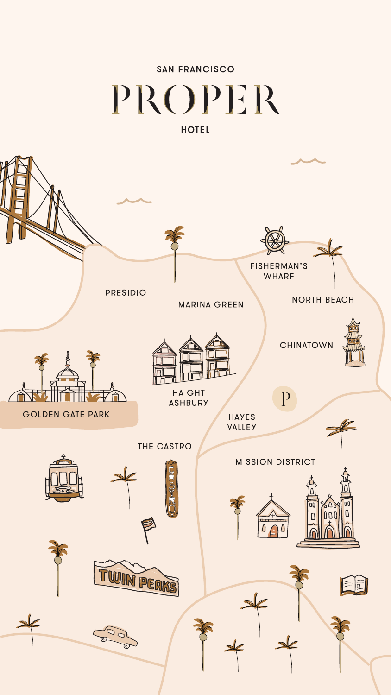# SAN FRANCISCO PROPER

**HOTEL** 



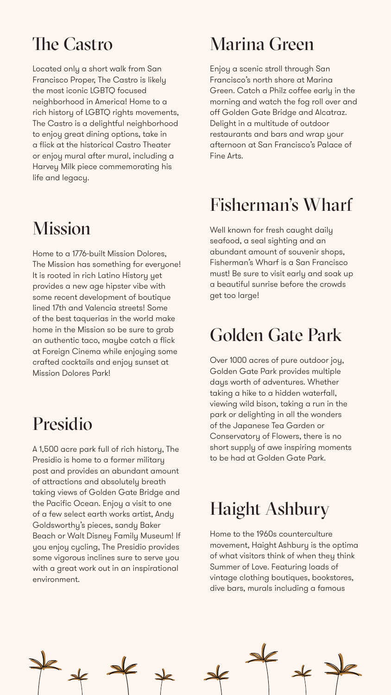## The Castro

Located only a short walk from San Francisco Proper, The Castro is likely the most iconic LGBTQ focused neighborhood in America! Home to a rich history of LGBTQ rights movements, The Castro is a delightful neighborhood to enjoy great dining options, take in a flick at the historical Castro Theater or enjoy mural after mural, including a Harvey Milk piece commemorating his life and legacy.

# Mission

Home to a 1776-built Mission Dolores, The Mission has something for everyone! It is rooted in rich Latino History yet provides a new age hipster vibe with some recent development of boutique lined 17th and Valencia streets! Some of the best taquerias in the world make

home in the Mission so be sure to grab an authentic taco, maybe catch a flick at Foreign Cinema while enjoying some crafted cocktails and enjoy sunset at Mission Dolores Park!

## Presidio

A 1,500 acre park full of rich history, The Presidio is home to a former military post and provides an abundant amount of attractions and absolutely breath taking views of Golden Gate Bridge and the Pacific Ocean. Enjoy a visit to one of a few select earth works artist, Andy Goldsworthy's pieces, sandy Baker Beach or Walt Disney Family Museum! If you enjoy cycling, The Presidio provides some vigorous inclines sure to serve you with a great work out in an inspirational environment.

# Marina Green

Enjoy a scenic stroll through San Francisco's north shore at Marina Green. Catch a Philz coffee early in the morning and watch the fog roll over and off Golden Gate Bridge and Alcatraz. Delight in a multitude of outdoor restaurants and bars and wrap your afternoon at San Francisco's Palace of Fine Arts.

# Fisherman's Wharf

Well known for fresh caught daily seafood, a seal sighting and an abundant amount of souvenir shops, Fisherman's Wharf is a San Francisco must! Be sure to visit early and soak up a beautiful sunrise before the crowds get too large!

## Golden Gate Park

Over 1000 acres of pure outdoor joy, Golden Gate Park provides multiple days worth of adventures. Whether taking a hike to a hidden waterfall, viewing wild bison, taking a run in the park or delighting in all the wonders of the Japanese Tea Garden or Conservatory of Flowers, there is no short supply of awe inspiring moments to be had at Golden Gate Park.

## Haight Ashbury

Home to the 1960s counterculture movement, Haight Ashbury is the optima of what visitors think of when they think Summer of Love. Featuring loads of vintage clothing boutiques, bookstores, dive bars, murals including a famous

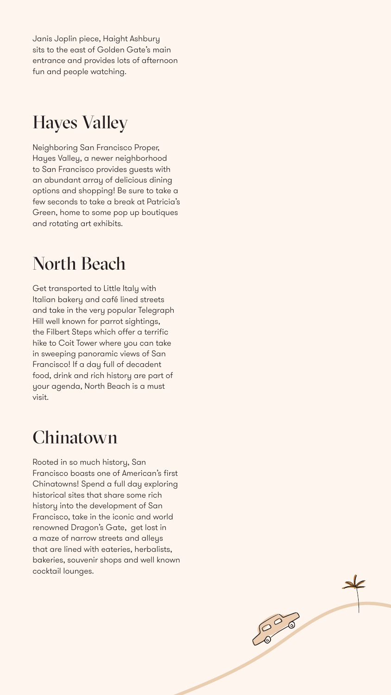Janis Joplin piece, Haight Ashbury sits to the east of Golden Gate's main entrance and provides lots of afternoon fun and people watching.

## Hayes Valley

Neighboring San Francisco Proper, Hayes Valley, a newer neighborhood to San Francisco provides guests with an abundant array of delicious dining options and shopping! Be sure to take a few seconds to take a break at Patricia's Green, home to some pop up boutiques and rotating art exhibits.

## North Beach

Get transported to Little Italy with Italian bakery and café lined streets and take in the very popular Telegraph Hill well known for parrot sightings, the Filbert Steps which offer a terrific hike to Coit Tower where you can take in sweeping panoramic views of San Francisco! If a day full of decadent food, drink and rich history are part of your agenda, North Beach is a must visit.

## Chinatown

Rooted in so much history, San Francisco boasts one of American's first Chinatowns! Spend a full day exploring historical sites that share some rich history into the development of San Francisco, take in the iconic and world renowned Dragon's Gate, get lost in a maze of narrow streets and alleys that are lined with eateries, herbalists, bakeries, souvenir shops and well known cocktail lounges.



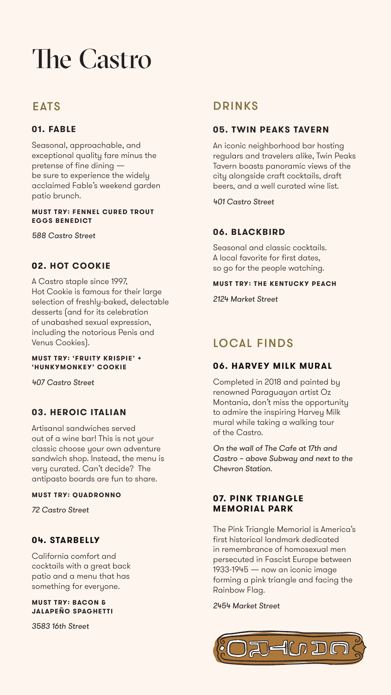# The Castro

## **EATS**

### **05. TWIN PEAKS TAVERN**

An iconic neighborhood bar hosting regulars and travelers alike, Twin Peaks Tavern boasts panoramic views of the city alongside craft cocktails, draft beers, and a well curated wine list.

*401 Castro Street*

#### **06. BLACKBIRD**

Seasonal and classic cocktails. A local favorite for first dates, so go for the people watching.

#### **MUST TRY: THE KENTUCKY PEACH**

*2124 Market Street*

## DRINKS

#### **01. FABLE**

Seasonal, approachable, and exceptional quality fare minus the pretense of fine dining be sure to experience the widely acclaimed Fable's weekend garden patio brunch.

#### **MUST TRY: FENNEL CURED TROUT EGGS BENEDICT**

*588 Castro Street*

#### **02. HOT COOKIE**

A Castro staple since 1997, Hot Cookie is famous for their large selection of freshly-baked, delectable desserts (and for its celebration of unabashed sexual expression, including the notorious Penis and Venus Cookies).

#### **MUST TRY: 'FRUITY KRISPIE' + 'HUNKYMONKEY' COOKIE**

*407 Castro Street*

#### **03. HEROIC ITALIAN**

Artisanal sandwiches served out of a wine bar! This is not your classic choose your own adventure sandwich shop. Instead, the menu is very curated. Can't decide? The antipasto boards are fun to share.

#### **MUST TRY: QUADRONNO**

*72 Castro Street*

#### **04. STARBELLY**

California comfort and cocktails with a great back patio and a menu that has something for everyone.

#### **MUST TRY: BACON & JALAPEÑO SPAGHETTI**

*3583 16th Street*

## **06. HARVEY MILK MURAL**

Completed in 2018 and painted by renowned Paraguayan artist Oz Montania, don't miss the opportunity to admire the inspiring Harvey Milk mural while taking a walking tour of the Castro.

*On the wall of The Cafe at 17th and Castro – above Subway and next to the Chevron Station.*

#### **07. PINK TRIANGLE MEMORIAL PARK**

The Pink Triangle Memorial is America's first historical landmark dedicated in remembrance of homosexual men persecuted in Fascist Europe between 1933-1945 — now an iconic image forming a pink triangle and facing the Rainbow Flag.

*2454 Market Street*



## LOCAL FINDS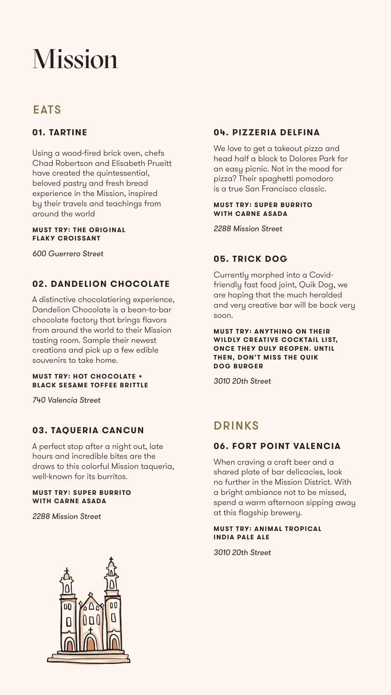# Mission

## EATS

## **04. PIZZERIA DELFINA**

We love to get a takeout pizza and head half a block to Dolores Park for an easy picnic. Not in the mood for pizza? Their spaghetti pomodoro is a true San Francisco classic.

#### **MUST TRY: SUPER BURRITO WITH CARNE ASADA**

*2288 Mission Street*

## **05. TRICK DOG**

Currently morphed into a Covidfriendly fast food joint, Quik Dog, we are hoping that the much heralded and very creative bar will be back very soon.

**MUST TRY: ANYTHING ON THEIR WILDLY CREATIVE COCKTAIL LIST, ONCE THEY DULY REOPEN. UNTIL THEN, DON'T MISS THE QUIK DOG BURGER**

*3010 20th Street*

#### **01. TARTINE**

Using a wood-fired brick oven, chefs Chad Robertson and Elisabeth Prueitt have created the quintessential, beloved pastry and fresh bread experience in the Mission, inspired by their travels and teachings from around the world

#### **MUST TRY: THE ORIGINAL FLAKY CROISSANT**

*600 Guerrero Street*

#### **02. DANDELION CHOCOLATE**

A distinctive chocolatiering experience, Dandelion Chocolate is a bean-to-bar chocolate factory that brings flavors from around the world to their Mission tasting room. Sample their newest creations and pick up a few edible souvenirs to take home.

#### **MUST TRY: HOT CHOCOLATE + BLACK SESAME TOFFEE BRITTLE**

*740 Valencia Street*

### **03. TAQUERIA CANCUN**

A perfect stop after a night out, late hours and incredible bites are the draws to this colorful Mission taqueria, well-known for its burritos.

#### **MUST TRY: SUPER BURRITO WITH CARNE ASADA**

*2288 Mission Street*



## DRINKS

## **06. FORT POINT VALENCIA**

When craving a craft beer and a shared plate of bar delicacies, look no further in the Mission District. With a bright ambiance not to be missed, spend a warm afternoon sipping away at this flagship brewery.

#### **MUST TRY: ANIMAL TROPICAL INDIA PALE ALE**

*3010 20th Street*

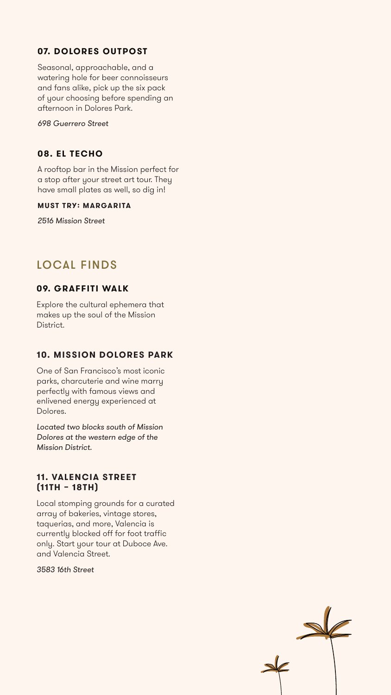#### **09. GRAFFITI WALK**

Explore the cultural ephemera that makes up the soul of the Mission District.

#### **10. MISSION DOLORES PARK**

One of San Francisco's most iconic parks, charcuterie and wine marry perfectly with famous views and enlivened energy experienced at Dolores.

*Located two blocks south of Mission Dolores at the western edge of the Mission District.*

#### **11. VALENCIA STREET (11TH – 18TH)**

Local stomping grounds for a curated array of bakeries, vintage stores, taquerias, and more, Valencia is currently blocked off for foot traffic only. Start your tour at Duboce Ave. and Valencia Street.

*3583 16th Street*





## LOCAL FINDS

## **07. DOLORES OUTPOST**

Seasonal, approachable, and a watering hole for beer connoisseurs and fans alike, pick up the six pack of your choosing before spending an afternoon in Dolores Park.

*698 Guerrero Street*

#### **08. EL TECHO**

A rooftop bar in the Mission perfect for a stop after your street art tour. They have small plates as well, so dig in!

#### **MUST TRY: MARGARITA**

*2516 Mission Street*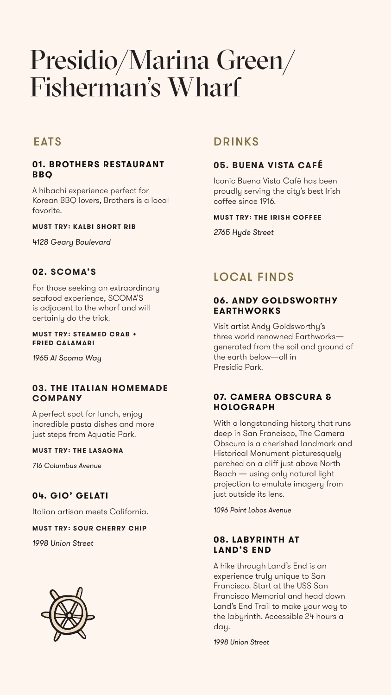# Presidio/Marina Green/ Fisherman's Wharf

## **EATS**

#### **01. BROTHERS RESTAURANT BBQ**

A hibachi experience perfect for Korean BBQ lovers, Brothers is a local favorite.

#### **MUST TRY: KALBI SHORT RIB**

*4128 Geary Boulevard*

#### **02. SCOMA'S**

For those seeking an extraordinary seafood experience, SCOMA'S is adjacent to the wharf and will certainly do the trick.

#### **MUST TRY: STEAMED CRAB + FRIED CALAMARI**

*1965 Al Scoma Way*

#### **03. THE ITALIAN HOMEMADE COMPANY**

A perfect spot for lunch, enjoy incredible pasta dishes and more just steps from Aquatic Park.

#### **MUST TRY: THE LASAGNA**

*716 Columbus Avenue*

#### **04. GIO' GELATI**

Italian artisan meets California.

#### **MUST TRY: SOUR CHERRY CHIP**

*1998 Union Street*



#### **06. ANDY GOLDSWORTHY EARTHWORKS**

Visit artist Andy Goldsworthy's three world renowned Earthworks generated from the soil and ground of the earth below—all in Presidio Park.

#### **07. CAMERA OBSCURA & HOLOGRAPH**

With a longstanding history that runs deep in San Francisco, The Camera Obscura is a cherished landmark and Historical Monument picturesquely perched on a cliff just above North Beach — using only natural light projection to emulate imagery from just outside its lens.

*1096 Point Lobos Avenue*

#### **08. LABYRINTH AT LAND'S END**

A hike through Land's End is an experience truly unique to San Francisco. Start at the USS San Francisco Memorial and head down Land's End Trail to make your way to the labyrinth. Accessible 24 hours a day.

*1998 Union Street*

## LOCAL FINDS

## **05. BUENA VISTA CAFÉ**

Iconic Buena Vista Café has been proudly serving the city's best Irish coffee since 1916.

#### **MUST TRY: THE IRISH COFFEE**

*2765 Hyde Street*

## DRINKS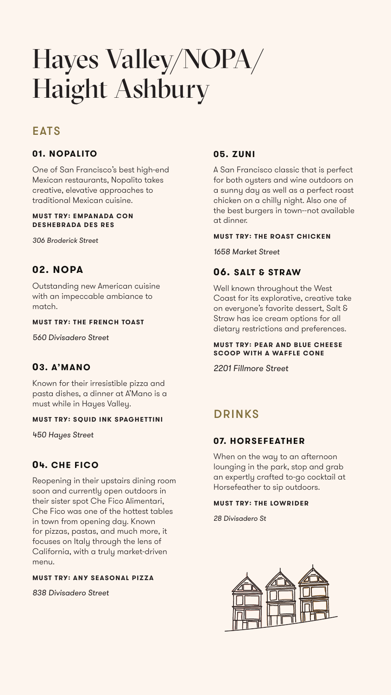# Hayes Valley/NOPA/ Haight Ashbury

## **EATS**

#### **01. NOPALITO**

One of San Francisco's best high-end Mexican restaurants, Nopalito takes creative, elevative approaches to traditional Mexican cuisine.

#### **MUST TRY: EMPANADA CON DESHEBRADA DES RES**

*306 Broderick Street*

## **02. NOPA**

Outstanding new American cuisine with an impeccable ambiance to match.

#### **MUST TRY: THE FRENCH TOAST**

*560 Divisadero Street*

#### **03. A'MANO**

Known for their irresistible pizza and pasta dishes, a dinner at A'Mano is a must while in Hayes Valley.

#### **MUST TRY: SQUID INK SPAGHETTINI**

*450 Hayes Street*

## **04. CHE FICO**

Reopening in their upstairs dining room soon and currently open outdoors in their sister spot Che Fico Alimentari, Che Fico was one of the hottest tables in town from opening day. Known for pizzas, pastas, and much more, it focuses on Italy through the lens of California, with a truly market-driven menu.

#### **MUST TRY: ANY SEASONAL PIZZA**

*838 Divisadero Street*

### **05. ZUNI**

A San Francisco classic that is perfect for both oysters and wine outdoors on a sunny day as well as a perfect roast chicken on a chilly night. Also one of the best burgers in town--not available at dinner.

#### **MUST TRY: THE ROAST CHICKEN**

*1658 Market Street*

#### **06. SALT & STRAW**

Well known throughout the West Coast for its explorative, creative take on everyone's favorite dessert, Salt & Straw has ice cream options for all dietary restrictions and preferences.

#### **MUST TRY: PEAR AND BLUE CHEESE SCOOP WITH A WAFFLE CONE**

*2201 Fillmore Street*

## **07. HORSEFEATHER**

When on the way to an afternoon lounging in the park, stop and grab an expertly crafted to-go cocktail at Horsefeather to sip outdoors.

#### **MUST TRY: THE LOWRIDER**

*28 Divisadero St*



## DRINKS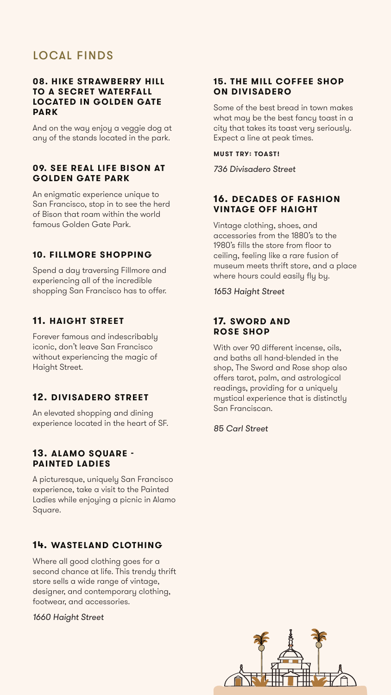#### **08. HIKE STRAWBERRY HILL TO A SECRET WATERFALL LOCATED IN GOLDEN GATE PARK**

And on the way enjoy a veggie dog at any of the stands located in the park.

#### **09. SEE REAL LIFE BISON AT GOLDEN GATE PARK**

An enigmatic experience unique to San Francisco, stop in to see the herd of Bison that roam within the world famous Golden Gate Park.

#### **10. FILLMORE SHOPPING**

Spend a day traversing Fillmore and experiencing all of the incredible shopping San Francisco has to offer.

#### **11. HAIGHT STREET**

Forever famous and indescribably iconic, don't leave San Francisco without experiencing the magic of Haight Street.

## **12. DIVISADERO STREET**

An elevated shopping and dining experience located in the heart of SF.

#### **13. ALAMO SQUARE - PAINTED LADIES**

A picturesque, uniquely San Francisco experience, take a visit to the Painted Ladies while enjoying a picnic in Alamo Square.

## **14. WASTELAND CLOTHING**

Where all good clothing goes for a second chance at life. This trendy thrift store sells a wide range of vintage, designer, and contemporary clothing, footwear, and accessories.

#### *1660 Haight Street*

#### **15. THE MILL COFFEE SHOP ON DIVISADERO**

Some of the best bread in town makes what may be the best fancy toast in a city that takes its toast very seriously. Expect a line at peak times.

**MUST TRY: TOAST!**

*736 Divisadero Street*

#### **16. DECADES OF FASHION VINTAGE OFF HAIGHT**

Vintage clothing, shoes, and accessories from the 1880's to the 1980's fills the store from floor to ceiling, feeling like a rare fusion of museum meets thrift store, and a place where hours could easily fly by.

*1653 Haight Street*

#### **17. SWORD AND**

#### **ROSE SHOP**

With over 90 different incense, oils, and baths all hand-blended in the shop, The Sword and Rose shop also offers tarot, palm, and astrological readings, providing for a uniquely mystical experience that is distinctly San Franciscan.

*85 Carl Street*



## LOCAL FINDS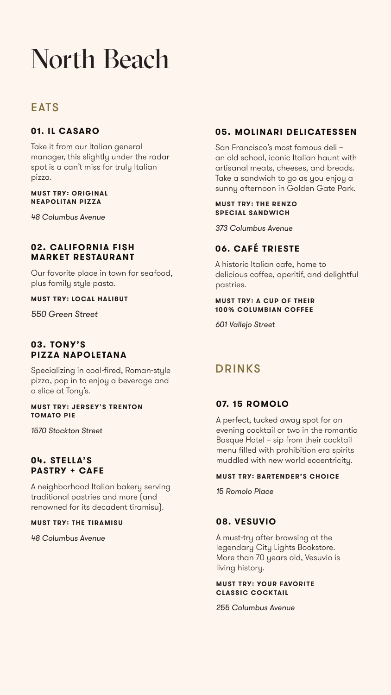# North Beach

## **EATS**

#### **01. IL CASARO**

Take it from our Italian general manager, this slightly under the radar spot is a can't miss for truly Italian pizza.

#### **MUST TRY: ORIGINAL NEAPOLITAN PIZZA**

*48 Columbus Avenue*

#### **02. CALIFORNIA FISH MARKET RESTAURANT**

Our favorite place in town for seafood, plus family style pasta.

#### **MUST TRY: LOCAL HALIBUT**

*550 Green Street*

#### **03. TONY'S PIZZA NAPOLETANA**

Specializing in coal-fired, Roman-style pizza, pop in to enjoy a beverage and a slice at Tony's.

#### **MUST TRY: JERSEY'S TRENTON TOMATO PIE**

*1570 Stockton Street*

#### **04. STELLA'S PASTRY + CAFE**

A neighborhood Italian bakery serving traditional pastries and more (and renowned for its decadent tiramisu).

#### **MUST TRY: THE TIRAMISU**

*48 Columbus Avenue*

## DRINKS

#### **07. 15 ROMOLO**

A perfect, tucked away spot for an evening cocktail or two in the romantic Basque Hotel – sip from their cocktail menu filled with prohibition era spirits muddled with new world eccentricity.

#### **MUST TRY: BARTENDER'S CHOICE**

*15 Romolo Place*

#### **08. VESUVIO**

A must-try after browsing at the legendary City Lights Bookstore. More than 70 years old, Vesuvio is living history.

#### **MUST TRY: YOUR FAVORITE CLASSIC COCKTAIL**

*255 Columbus Avenue*

## **05. MOLINARI DELICATESSEN**

San Francisco's most famous deli – an old school, iconic Italian haunt with artisanal meats, cheeses, and breads. Take a sandwich to go as you enjoy a sunny afternoon in Golden Gate Park.

#### **MUST TRY: THE RENZO SPECIAL SANDWICH**

*373 Columbus Avenue*

## **06. CAFÉ TRIESTE**

A historic Italian cafe, home to delicious coffee, aperitif, and delightful pastries.

#### **MUST TRY: A CUP OF THEIR 100% COLUMBIAN COFFEE**

*601 Vallejo Street*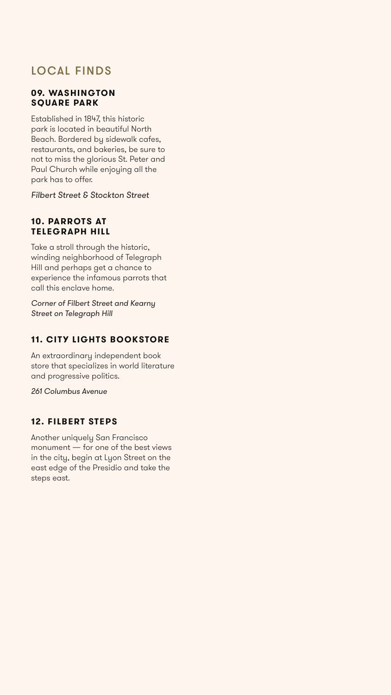## LOCAL FINDS

#### **09. WASHINGTON SQUARE PARK**

Established in 1847, this historic park is located in beautiful North Beach. Bordered by sidewalk cafes, restaurants, and bakeries, be sure to not to miss the glorious St. Peter and Paul Church while enjoying all the park has to offer.

*Filbert Street & Stockton Street*

#### **10. PARROTS AT TELEGRAPH HILL**

Take a stroll through the historic, winding neighborhood of Telegraph Hill and perhaps get a chance to experience the infamous parrots that call this enclave home.

*Corner of Filbert Street and Kearny Street on Telegraph Hill*

## **11. CITY LIGHTS BOOKSTORE**

An extraordinary independent book store that specializes in world literature and progressive politics.

*261 Columbus Avenue*

#### **12. FILBERT STEPS**

Another uniquely San Francisco monument — for one of the best views in the city, begin at Lyon Street on the east edge of the Presidio and take the steps east.